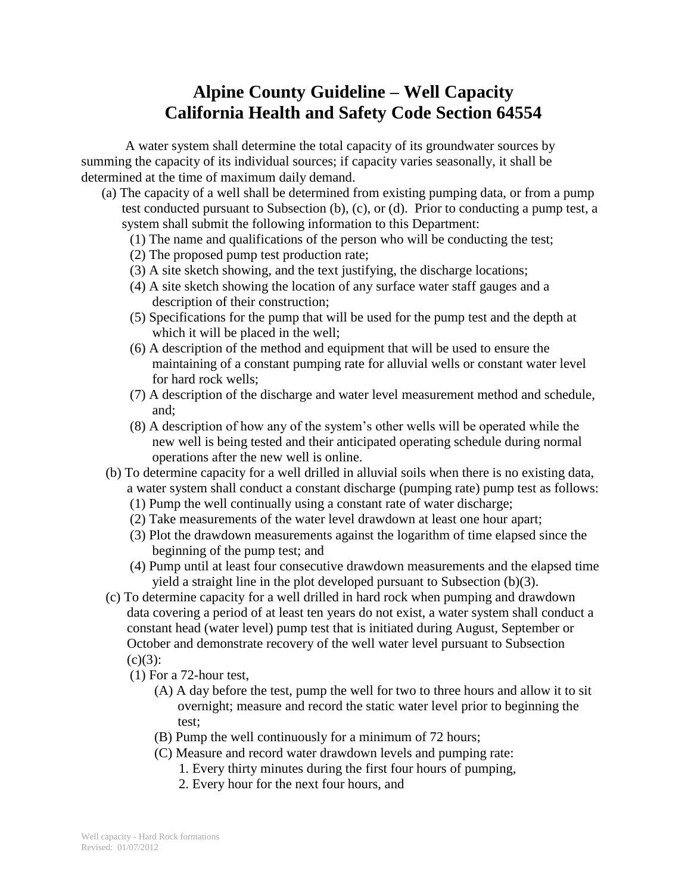## **Alpine County Guideline – Well Capacity California Health and Safety Code Section 64554**

A water system shall determine the total capacity of its groundwater sources by summing the capacity of its individual sources; if capacity varies seasonally, it shall be determined at the time of maximum daily demand.

- (a) The capacity of a well shall be determined from existing pumping data, or from a pump test conducted pursuant to Subsection (b), (c), or (d). Prior to conducting a pump test, a system shall submit the following information to this Department:
	- (1) The name and qualifications of the person who will be conducting the test;
	- (2) The proposed pump test production rate;
	- (3) A site sketch showing, and the text justifying, the discharge locations;
	- (4) A site sketch showing the location of any surface water staff gauges and a description of their construction;
	- (5) Specifications for the pump that will be used for the pump test and the depth at which it will be placed in the well;
	- (6) A description of the method and equipment that will be used to ensure the maintaining of a constant pumping rate for alluvial wells or constant water level for hard rock wells;
	- (7) A description of the discharge and water level measurement method and schedule, and;
	- (8) A description of how any of the system's other wells will be operated while the new well is being tested and their anticipated operating schedule during normal operations after the new well is online.
- (b) To determine capacity for a well drilled in alluvial soils when there is no existing data, a water system shall conduct a constant discharge (pumping rate) pump test as follows:
	- (1) Pump the well continually using a constant rate of water discharge;
	- (2) Take measurements of the water level drawdown at least one hour apart;
	- (3) Plot the drawdown measurements against the logarithm of time elapsed since the beginning of the pump test; and
	- (4) Pump until at least four consecutive drawdown measurements and the elapsed time yield a straight line in the plot developed pursuant to Subsection (b)(3).
- (c) To determine capacity for a well drilled in hard rock when pumping and drawdown data covering a period of at least ten years do not exist, a water system shall conduct a constant head (water level) pump test that is initiated during August, September or October and demonstrate recovery of the well water level pursuant to Subsection  $(c)(3)$ :
	- (1) For a 72-hour test,
		- (A) A day before the test, pump the well for two to three hours and allow it to sit overnight; measure and record the static water level prior to beginning the test;
		- (B) Pump the well continuously for a minimum of 72 hours;
		- (C) Measure and record water drawdown levels and pumping rate:
			- 1. Every thirty minutes during the first four hours of pumping,
			- 2. Every hour for the next four hours, and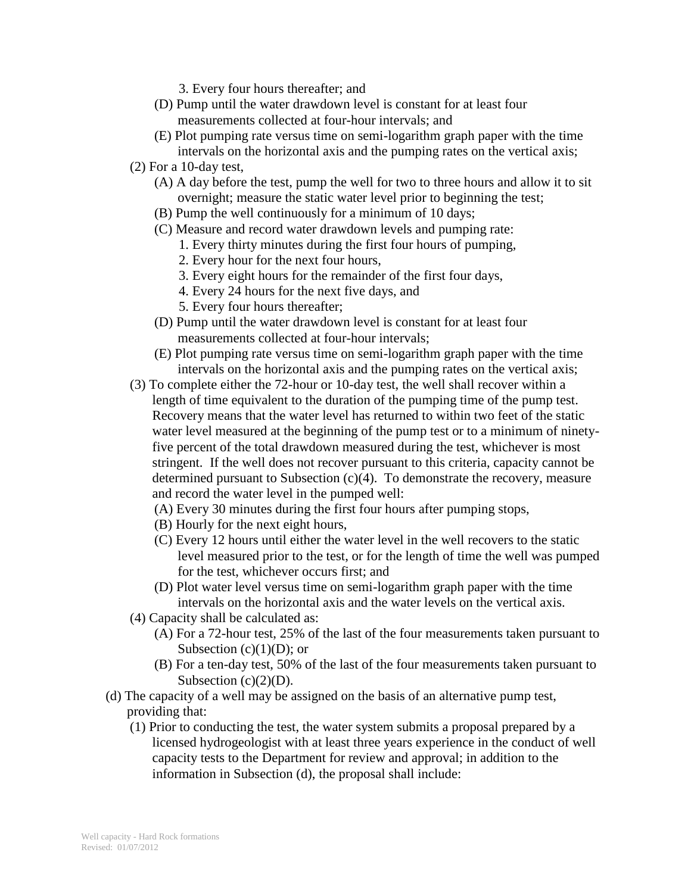- 3. Every four hours thereafter; and
- (D) Pump until the water drawdown level is constant for at least four measurements collected at four-hour intervals; and
- (E) Plot pumping rate versus time on semi-logarithm graph paper with the time intervals on the horizontal axis and the pumping rates on the vertical axis;
- (2) For a 10-day test,
	- (A) A day before the test, pump the well for two to three hours and allow it to sit overnight; measure the static water level prior to beginning the test;
	- (B) Pump the well continuously for a minimum of 10 days;
	- (C) Measure and record water drawdown levels and pumping rate:
		- 1. Every thirty minutes during the first four hours of pumping,
		- 2. Every hour for the next four hours,
		- 3. Every eight hours for the remainder of the first four days,
		- 4. Every 24 hours for the next five days, and
		- 5. Every four hours thereafter;
	- (D) Pump until the water drawdown level is constant for at least four measurements collected at four-hour intervals;
	- (E) Plot pumping rate versus time on semi-logarithm graph paper with the time intervals on the horizontal axis and the pumping rates on the vertical axis;
- (3) To complete either the 72-hour or 10-day test, the well shall recover within a length of time equivalent to the duration of the pumping time of the pump test. Recovery means that the water level has returned to within two feet of the static water level measured at the beginning of the pump test or to a minimum of ninetyfive percent of the total drawdown measured during the test, whichever is most stringent. If the well does not recover pursuant to this criteria, capacity cannot be determined pursuant to Subsection (c)(4). To demonstrate the recovery, measure and record the water level in the pumped well:
	- (A) Every 30 minutes during the first four hours after pumping stops,
	- (B) Hourly for the next eight hours,
	- (C) Every 12 hours until either the water level in the well recovers to the static level measured prior to the test, or for the length of time the well was pumped for the test, whichever occurs first; and
	- (D) Plot water level versus time on semi-logarithm graph paper with the time intervals on the horizontal axis and the water levels on the vertical axis.
- (4) Capacity shall be calculated as:
	- (A) For a 72-hour test, 25% of the last of the four measurements taken pursuant to Subsection  $(c)(1)(D)$ ; or
	- (B) For a ten-day test, 50% of the last of the four measurements taken pursuant to Subsection  $(c)(2)(D)$ .
- (d) The capacity of a well may be assigned on the basis of an alternative pump test, providing that:
	- (1) Prior to conducting the test, the water system submits a proposal prepared by a licensed hydrogeologist with at least three years experience in the conduct of well capacity tests to the Department for review and approval; in addition to the information in Subsection (d), the proposal shall include: